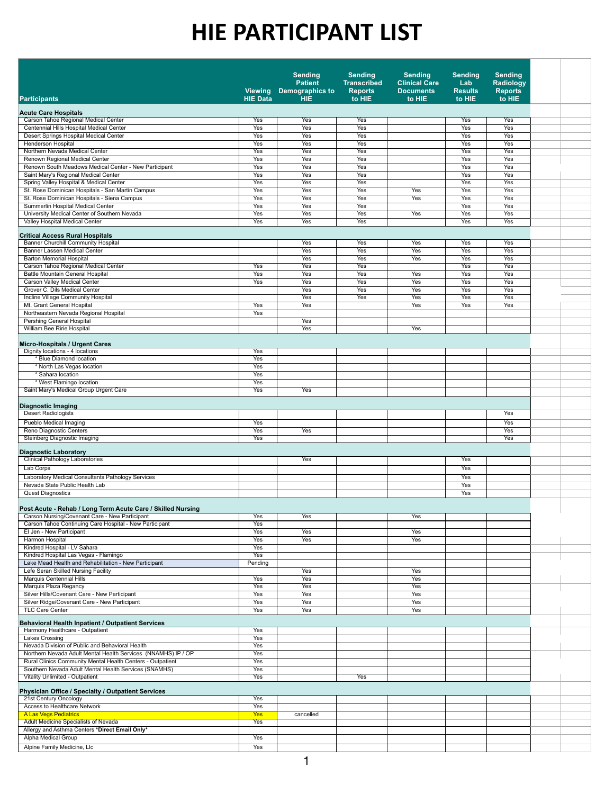|                                                                                                                     | <b>Viewing</b>    | <b>Sending</b><br><b>Patient</b><br><b>Demographics to</b> | <b>Sending</b><br><b>Transcribed</b><br><b>Reports</b> | <b>Sending</b><br><b>Clinical Care</b><br><b>Documents</b> | <b>Sending</b><br>Lab<br><b>Results</b> | <b>Sending</b><br><b>Radiology</b><br><b>Reports</b> |  |
|---------------------------------------------------------------------------------------------------------------------|-------------------|------------------------------------------------------------|--------------------------------------------------------|------------------------------------------------------------|-----------------------------------------|------------------------------------------------------|--|
| <b>Participants</b>                                                                                                 | <b>HIE Data</b>   | <b>HIE</b>                                                 | to HIE                                                 | to HIE                                                     | to HIE                                  | to HIE                                               |  |
| <b>Acute Care Hospitals</b>                                                                                         |                   |                                                            |                                                        |                                                            |                                         |                                                      |  |
| <b>Carson Tahoe Regional Medical Center</b><br>Centennial Hills Hospital Medical Center                             | Yes<br>Yes        | Yes<br>Yes                                                 | Yes<br>Yes                                             |                                                            | <b>Yes</b><br>Yes                       | Yes<br>Yes                                           |  |
| <b>Desert Springs Hospital Medical Center</b>                                                                       | <b>Yes</b>        | Yes                                                        | Yes                                                    |                                                            | Yes                                     | Yes                                                  |  |
| <b>Henderson Hospital</b><br>Northern Nevada Medical Center                                                         | Yes<br>Yes        | Yes<br>Yes                                                 | Yes<br><b>Yes</b>                                      |                                                            | Yes<br>Yes                              | Yes<br>Yes                                           |  |
| Renown Regional Medical Center                                                                                      | Yes               | Yes                                                        | Yes                                                    |                                                            | Yes                                     | Yes                                                  |  |
| Renown South Meadows Medical Center - New Participant                                                               | Yes               | <b>Yes</b>                                                 | Yes                                                    |                                                            | <b>Yes</b>                              | <b>Yes</b>                                           |  |
| Saint Mary's Regional Medical Center<br><b>Spring Valley Hospital &amp; Medical Center</b>                          | Yes<br>Yes        | Yes<br>Yes                                                 | Yes<br>Yes                                             |                                                            | Yes<br>Yes                              | Yes<br><b>Yes</b>                                    |  |
| St. Rose Dominican Hospitals - San Martin Campus                                                                    | Yes               | Yes                                                        | Yes                                                    | Yes                                                        | Yes                                     | Yes                                                  |  |
| St. Rose Dominican Hospitals - Siena Campus<br>Summerlin Hospital Medical Center                                    | Yes<br><b>Yes</b> | Yes<br>Yes                                                 | Yes<br>Yes                                             | Yes                                                        | Yes<br><b>Yes</b>                       | Yes<br>Yes                                           |  |
| University Medical Center of Southern Nevada                                                                        | Yes               | Yes                                                        | Yes                                                    | Yes                                                        | Yes                                     | Yes                                                  |  |
| Valley Hospital Medical Center                                                                                      | <b>Yes</b>        | <b>Yes</b>                                                 | Yes                                                    |                                                            | Yes                                     | <b>Yes</b>                                           |  |
| <b>Critical Access Rural Hospitals</b>                                                                              |                   |                                                            |                                                        |                                                            |                                         |                                                      |  |
| <b>Banner Churchill Community Hospital</b>                                                                          |                   | Yes                                                        | Yes                                                    | Yes                                                        | Yes                                     | Yes                                                  |  |
| <b>Banner Lassen Medical Center</b><br><b>Barton Memorial Hospital</b>                                              |                   | Yes<br>Yes                                                 | Yes<br>Yes                                             | Yes<br>Yes                                                 | Yes<br>Yes                              | <b>Yes</b><br>Yes                                    |  |
| Carson Tahoe Regional Medical Center                                                                                | <b>Yes</b>        | Yes                                                        | Yes                                                    |                                                            | Yes                                     | Yes                                                  |  |
| <b>Battle Mountain General Hospital</b>                                                                             | Yes               | Yes                                                        | Yes                                                    | Yes                                                        | Yes                                     | Yes                                                  |  |
| <b>Carson Valley Medical Center</b><br>Grover C. Dils Medical Center                                                | <b>Yes</b>        | <b>Yes</b><br>Yes                                          | <b>Yes</b><br>Yes                                      | Yes<br>Yes                                                 | <b>Yes</b><br>Yes                       | Yes<br>Yes                                           |  |
| <b>Incline Village Community Hospital</b>                                                                           |                   | Yes                                                        | Yes                                                    | Yes                                                        | Yes                                     | Yes                                                  |  |
| Mt. Grant General Hospital<br>Northeastern Nevada Regional Hospital                                                 | Yes<br>Yes        | Yes                                                        |                                                        | Yes                                                        | Yes                                     | Yes                                                  |  |
| <b>Pershing General Hospital</b>                                                                                    |                   | Yes                                                        |                                                        |                                                            |                                         |                                                      |  |
| <b>William Bee Ririe Hospital</b>                                                                                   |                   | Yes                                                        |                                                        | Yes                                                        |                                         |                                                      |  |
| <b>Micro-Hospitals / Urgent Cares</b>                                                                               |                   |                                                            |                                                        |                                                            |                                         |                                                      |  |
| Dignity locations - 4 locations                                                                                     | Yes               |                                                            |                                                        |                                                            |                                         |                                                      |  |
| * Blue Diamond location<br>* North Las Vegas location                                                               | Yes<br>Yes        |                                                            |                                                        |                                                            |                                         |                                                      |  |
| * Sahara location                                                                                                   | <b>Yes</b>        |                                                            |                                                        |                                                            |                                         |                                                      |  |
| * West Flamingo location                                                                                            | Yes               |                                                            |                                                        |                                                            |                                         |                                                      |  |
| Saint Mary's Medical Group Urgent Care                                                                              | Yes               | Yes                                                        |                                                        |                                                            |                                         |                                                      |  |
| Diagnostic Imaging                                                                                                  |                   |                                                            |                                                        |                                                            |                                         |                                                      |  |
| <b>Desert Radiologists</b>                                                                                          |                   |                                                            |                                                        |                                                            |                                         | Yes                                                  |  |
| <b>Pueblo Medical Imaging</b><br>Reno Diagnostic Centers                                                            | Yes<br>Yes        | Yes                                                        |                                                        |                                                            |                                         | <b>Yes</b><br>Yes                                    |  |
| <b>Steinberg Diagnostic Imaging</b>                                                                                 | <b>Yes</b>        |                                                            |                                                        |                                                            |                                         | Yes                                                  |  |
| <b>Diagnostic Laboratory</b>                                                                                        |                   |                                                            |                                                        |                                                            |                                         |                                                      |  |
| <b>Clinical Pathology Laboratories</b>                                                                              |                   | Yes                                                        |                                                        |                                                            | Yes                                     |                                                      |  |
| Lab Corps                                                                                                           |                   |                                                            |                                                        |                                                            | Yes                                     |                                                      |  |
| <b>Laboratory Medical Consultants Pathology Services</b><br>Nevada State Public Health Lab                          |                   |                                                            |                                                        |                                                            | Yes<br><b>Yes</b>                       |                                                      |  |
| <b>Quest Diagnostics</b>                                                                                            |                   |                                                            |                                                        |                                                            | Yes                                     |                                                      |  |
|                                                                                                                     |                   |                                                            |                                                        |                                                            |                                         |                                                      |  |
| Post Acute - Rehab / Long Term Acute Care / Skilled Nursing<br>Carson Nursing/Covenant Care - New Participant       | Yes               | Yes                                                        |                                                        | Yes                                                        |                                         |                                                      |  |
| Carson Tahoe Continuing Care Hospital - New Participant                                                             | Yes               |                                                            |                                                        |                                                            |                                         |                                                      |  |
| El Jen - New Participant<br><b>Harmon Hospital</b>                                                                  | Yes<br>Yes        | Yes<br><b>Yes</b>                                          |                                                        | Yes<br>Yes                                                 |                                         |                                                      |  |
| Kindred Hospital - LV Sahara                                                                                        | Yes               |                                                            |                                                        |                                                            |                                         |                                                      |  |
| Kindred Hospital Las Vegas - Flamingo<br>Lake Mead Health and Rehabilitation - New Participant                      | Yes               |                                                            |                                                        |                                                            |                                         |                                                      |  |
| Lefe Seran Skilled Nursing Facility                                                                                 | Pending           | Yes                                                        |                                                        | Yes                                                        |                                         |                                                      |  |
| <b>Marquis Centennial Hills</b>                                                                                     | Yes               | Yes                                                        |                                                        | Yes                                                        |                                         |                                                      |  |
| <b>Marquis Plaza Regancy</b><br>Silver Hills/Covenant Care - New Participant                                        | Yes<br>Yes        | Yes<br>Yes                                                 |                                                        | Yes<br>Yes                                                 |                                         |                                                      |  |
| Silver Ridge/Covenant Care - New Participant                                                                        | Yes               | Yes                                                        |                                                        | Yes                                                        |                                         |                                                      |  |
| <b>TLC Care Center</b>                                                                                              | Yes               | Yes                                                        |                                                        | Yes                                                        |                                         |                                                      |  |
| <b>Behavioral Health Inpatient / Outpatient Services</b>                                                            |                   |                                                            |                                                        |                                                            |                                         |                                                      |  |
| Harmony Healthcare - Outpatient<br><b>Lakes Crossing</b>                                                            | Yes<br>Yes        |                                                            |                                                        |                                                            |                                         |                                                      |  |
| Nevada Division of Public and Behavioral Health                                                                     | Yes               |                                                            |                                                        |                                                            |                                         |                                                      |  |
| Northern Nevada Adult Mental Health Services (NNAMHS) IP / OP                                                       | <b>Yes</b>        |                                                            |                                                        |                                                            |                                         |                                                      |  |
| Rural Clinics Community Mental Health Centers - Outpatient<br>Southern Nevada Adult Mental Health Services (SNAMHS) | Yes<br><b>Yes</b> |                                                            |                                                        |                                                            |                                         |                                                      |  |
| <b>Vitality Unlimited - Outpatient</b>                                                                              | Yes               |                                                            | Yes                                                    |                                                            |                                         |                                                      |  |
| <b>Physician Office / Specialty / Outpatient Services</b>                                                           |                   |                                                            |                                                        |                                                            |                                         |                                                      |  |
| 21st Century Oncology                                                                                               | Yes               |                                                            |                                                        |                                                            |                                         |                                                      |  |
| <b>Access to Healthcare Network</b>                                                                                 | Yes               |                                                            |                                                        |                                                            |                                         |                                                      |  |
| A Las Vegs Pediatrics<br>Adult Medicine Specialists of Nevada                                                       | Yes<br>Yes        | cancelled                                                  |                                                        |                                                            |                                         |                                                      |  |
| Allergy and Asthma Centers *Direct Email Only*                                                                      |                   |                                                            |                                                        |                                                            |                                         |                                                      |  |
| <b>Alpha Medical Group</b>                                                                                          | Yes               |                                                            |                                                        |                                                            |                                         |                                                      |  |
| Alpine Family Medicine, Llc                                                                                         | Yes               |                                                            |                                                        |                                                            |                                         |                                                      |  |
|                                                                                                                     |                   |                                                            |                                                        |                                                            |                                         |                                                      |  |

## **HIE PARTICIPANT LIST**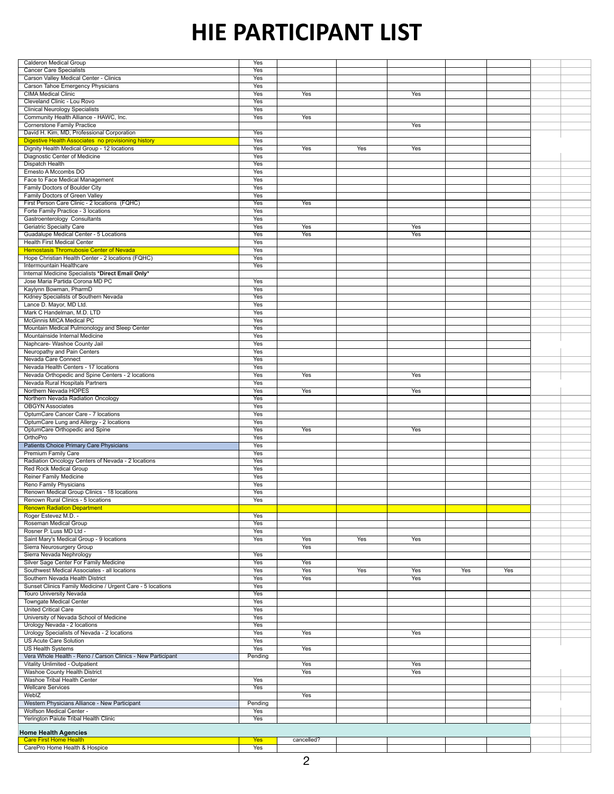| <b>Calderon Medical Group</b>                               | <b>Yes</b> |            |     |            |     |     |  |
|-------------------------------------------------------------|------------|------------|-----|------------|-----|-----|--|
| <b>Cancer Care Specialists</b>                              | Yes        |            |     |            |     |     |  |
| Carson Valley Medical Center - Clinics                      | Yes        |            |     |            |     |     |  |
| <b>Carson Tahoe Emergency Physicians</b>                    | Yes        |            |     |            |     |     |  |
| <b>CIMA</b> Medical Clinic                                  | Yes        | Yes        |     | Yes        |     |     |  |
| Cleveland Clinic - Lou Rovo                                 | Yes        |            |     |            |     |     |  |
| <b>Clinical Neurology Specialists</b>                       | <b>Yes</b> |            |     |            |     |     |  |
| Community Health Alliance - HAWC, Inc.                      | Yes        | Yes        |     |            |     |     |  |
| <b>Cornerstone Family Practice</b>                          |            |            |     | <b>Yes</b> |     |     |  |
|                                                             |            |            |     |            |     |     |  |
| David H. Kim, MD, Professional Corporation                  | Yes        |            |     |            |     |     |  |
| Digestive Health Associates no provisioning history         | Yes        |            |     |            |     |     |  |
| Dignity Health Medical Group - 12 locations                 | Yes        | Yes        | Yes | Yes        |     |     |  |
| <b>Diagnostic Center of Medicine</b>                        | Yes        |            |     |            |     |     |  |
| <b>Dispatch Health</b>                                      | Yes        |            |     |            |     |     |  |
| Ernesto A Mccombs DO                                        | Yes        |            |     |            |     |     |  |
| Face to Face Medical Management                             | Yes        |            |     |            |     |     |  |
| Family Doctors of Boulder City                              | <b>Yes</b> |            |     |            |     |     |  |
| Family Doctors of Green Valley                              | Yes        |            |     |            |     |     |  |
| First Person Care Clinic - 2 locations (FQHC)               | Yes        | Yes        |     |            |     |     |  |
| Forte Family Practice - 3 locations                         | <b>Yes</b> |            |     |            |     |     |  |
| <b>Gastroenterology Consultants</b>                         | Yes        |            |     |            |     |     |  |
| <b>Geriatric Specialty Care</b>                             | Yes        | Yes        |     | Yes        |     |     |  |
| <b>Guadalupe Medical Center - 5 Locations</b>               | Yes        | Yes        |     | Yes        |     |     |  |
| <b>Health First Medical Center</b>                          | <b>Yes</b> |            |     |            |     |     |  |
| <b>Hemostasis Thromubosie Center of Nevada</b>              | Yes        |            |     |            |     |     |  |
| Hope Christian Health Center - 2 locations (FQHC)           | Yes        |            |     |            |     |     |  |
| Intermountain Healthcare                                    | Yes        |            |     |            |     |     |  |
| Internal Medicine Specialists *Direct Email Only*           |            |            |     |            |     |     |  |
| Jose Maria Partida Corona MD PC                             | Yes        |            |     |            |     |     |  |
| Kaylynn Bowman, PharmD                                      | Yes        |            |     |            |     |     |  |
| Kidney Specialists of Southern Nevada                       | Yes        |            |     |            |     |     |  |
| Lance D. Mayor, MD Ltd.                                     | Yes        |            |     |            |     |     |  |
| Mark C Handelman, M.D. LTD                                  | Yes        |            |     |            |     |     |  |
| <b>McGinnis MICA Medical PC</b>                             | <b>Yes</b> |            |     |            |     |     |  |
|                                                             |            |            |     |            |     |     |  |
| Mountain Medical Pulmonology and Sleep Center               | <b>Yes</b> |            |     |            |     |     |  |
| Mountainside Internal Medicine                              | Yes        |            |     |            |     |     |  |
| Naphcare- Washoe County Jail                                | Yes        |            |     |            |     |     |  |
| Neuropathy and Pain Centers                                 | Yes        |            |     |            |     |     |  |
| <b>Nevada Care Connect</b>                                  | <b>Yes</b> |            |     |            |     |     |  |
| Nevada Health Centers - 17 locations                        | Yes        |            |     |            |     |     |  |
| Nevada Orthopedic and Spine Centers - 2 locations           | <b>Yes</b> | Yes        |     | <b>Yes</b> |     |     |  |
| Nevada Rural Hospitals Partners                             | Yes        |            |     |            |     |     |  |
| Northern Nevada HOPES                                       | Yes        | <b>Yes</b> |     | <b>Yes</b> |     |     |  |
| Northern Nevada Radiation Oncology                          | Yes        |            |     |            |     |     |  |
| <b>OBGYN Associates</b>                                     | <b>Yes</b> |            |     |            |     |     |  |
| OptumCare Cancer Care - 7 locations                         | Yes        |            |     |            |     |     |  |
| OptumCare Lung and Allergy - 2 locations                    | Yes        |            |     |            |     |     |  |
| OptumCare Orthopedic and Spine                              | Yes        | Yes        |     | Yes        |     |     |  |
| OrthoPro                                                    | Yes        |            |     |            |     |     |  |
| <b>Patients Choice Primary Care Physicians</b>              | Yes        |            |     |            |     |     |  |
| <b>Premium Family Care</b>                                  | Yes        |            |     |            |     |     |  |
| Radiation Oncology Centers of Nevada - 2 locations          | Yes        |            |     |            |     |     |  |
| <b>Red Rock Medical Group</b>                               | Yes        |            |     |            |     |     |  |
| <b>Reiner Family Medicine</b>                               | Yes        |            |     |            |     |     |  |
| Reno Family Physicians                                      | Yes        |            |     |            |     |     |  |
| Renown Medical Group Clinics - 18 locations                 | <b>Yes</b> |            |     |            |     |     |  |
| Renown Rural Clinics - 5 locations                          | Yes        |            |     |            |     |     |  |
| <b>Renown Radiation Department</b>                          |            |            |     |            |     |     |  |
| Roger Estevez M.D. -                                        | Yes        |            |     |            |     |     |  |
| <b>Roseman Medical Group</b>                                | <b>Yes</b> |            |     |            |     |     |  |
| Rosner P. Luss MD Ltd -                                     | Yes        |            |     |            |     |     |  |
| Saint Mary's Medical Group - 9 locations                    | Yes        | Yes        | Yes | <b>Yes</b> |     |     |  |
| <b>Sierra Neurosurgery Group</b>                            |            | Yes        |     |            |     |     |  |
| Sierra Nevada Nephrology                                    | Yes        |            |     |            |     |     |  |
| Silver Sage Center For Family Medicine                      | Yes        | Yes        |     |            |     |     |  |
| Southwest Medical Associates - all locations                | Yes        | <b>Yes</b> | Yes | Yes        | Yes | Yes |  |
| Southern Nevada Health District                             | <b>Yes</b> | <b>Yes</b> |     | <b>Yes</b> |     |     |  |
| Sunset Clinics Family Medicine / Urgent Care - 5 locations  | Yes        |            |     |            |     |     |  |
| <b>Touro University Nevada</b>                              | Yes        |            |     |            |     |     |  |
| <b>Towngate Medical Center</b>                              | Yes        |            |     |            |     |     |  |
| <b>United Critical Care</b>                                 | Yes        |            |     |            |     |     |  |
| University of Nevada School of Medicine                     | Yes        |            |     |            |     |     |  |
| Urology Nevada - 2 locations                                | Yes        |            |     |            |     |     |  |
| Urology Specialists of Nevada - 2 locations                 | Yes        | Yes        |     | Yes        |     |     |  |
| <b>US Acute Care Solution</b>                               | Yes        |            |     |            |     |     |  |
| <b>US Health Systems</b>                                    | Yes        | Yes        |     |            |     |     |  |
| Vera Whole Health - Reno / Carson Clinics - New Participant | Pending    |            |     |            |     |     |  |
| <b>Vitality Unlimited - Outpatient</b>                      |            | <b>Yes</b> |     | Yes        |     |     |  |
| <b>Washoe County Health District</b>                        |            | Yes        |     | Yes        |     |     |  |
| <b>Washoe Tribal Health Center</b>                          | Yes        |            |     |            |     |     |  |
| <b>Wellcare Services</b>                                    | Yes        |            |     |            |     |     |  |
| WebIZ                                                       |            | Yes        |     |            |     |     |  |
| Western Physicians Alliance - New Participant               | Pending    |            |     |            |     |     |  |
| <b>Wolfson Medical Center -</b>                             | Yes        |            |     |            |     |     |  |
| Yerington Paiute Tribal Health Clinic                       | Yes        |            |     |            |     |     |  |
|                                                             |            |            |     |            |     |     |  |
| <b>Home Health Agencies</b>                                 |            |            |     |            |     |     |  |
| <b>Care First Home Health</b>                               | Yes        | cancelled? |     |            |     |     |  |
| CarePro Home Health & Hospice                               | Yes        |            |     |            |     |     |  |

## **HIE PARTICIPANT LIST**